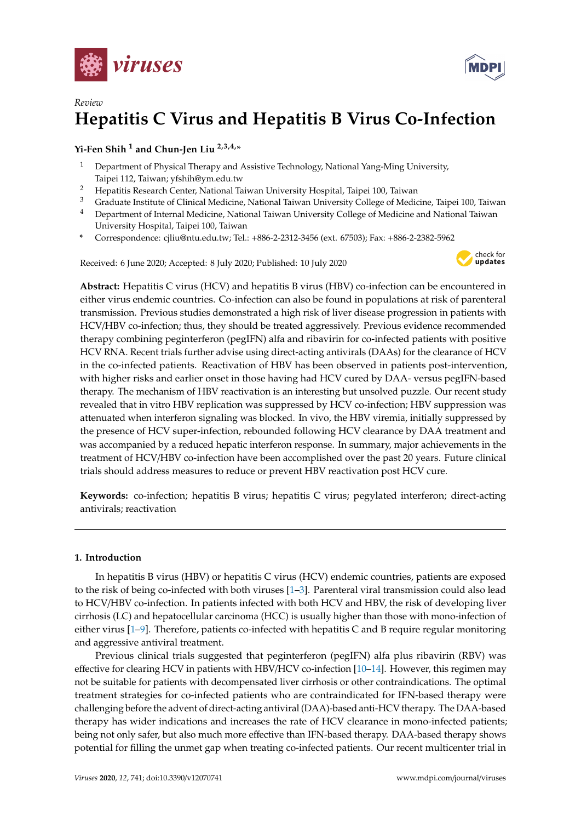



# *Review* **Hepatitis C Virus and Hepatitis B Virus Co-Infection**

## **Yi-Fen Shih <sup>1</sup> and Chun-Jen Liu 2,3,4,\***

- <sup>1</sup> Department of Physical Therapy and Assistive Technology, National Yang-Ming University, Taipei 112, Taiwan; yfshih@ym.edu.tw
- <sup>2</sup> Hepatitis Research Center, National Taiwan University Hospital, Taipei 100, Taiwan
- <sup>3</sup> Graduate Institute of Clinical Medicine, National Taiwan University College of Medicine, Taipei 100, Taiwan
- <sup>4</sup> Department of Internal Medicine, National Taiwan University College of Medicine and National Taiwan University Hospital, Taipei 100, Taiwan
- **\*** Correspondence: cjliu@ntu.edu.tw; Tel.: +886-2-2312-3456 (ext. 67503); Fax: +886-2-2382-5962

Received: 6 June 2020; Accepted: 8 July 2020; Published: 10 July 2020



**Abstract:** Hepatitis C virus (HCV) and hepatitis B virus (HBV) co-infection can be encountered in either virus endemic countries. Co-infection can also be found in populations at risk of parenteral transmission. Previous studies demonstrated a high risk of liver disease progression in patients with HCV/HBV co-infection; thus, they should be treated aggressively. Previous evidence recommended therapy combining peginterferon (pegIFN) alfa and ribavirin for co-infected patients with positive HCV RNA. Recent trials further advise using direct-acting antivirals (DAAs) for the clearance of HCV in the co-infected patients. Reactivation of HBV has been observed in patients post-intervention, with higher risks and earlier onset in those having had HCV cured by DAA- versus pegIFN-based therapy. The mechanism of HBV reactivation is an interesting but unsolved puzzle. Our recent study revealed that in vitro HBV replication was suppressed by HCV co-infection; HBV suppression was attenuated when interferon signaling was blocked. In vivo, the HBV viremia, initially suppressed by the presence of HCV super-infection, rebounded following HCV clearance by DAA treatment and was accompanied by a reduced hepatic interferon response. In summary, major achievements in the treatment of HCV/HBV co-infection have been accomplished over the past 20 years. Future clinical trials should address measures to reduce or prevent HBV reactivation post HCV cure.

**Keywords:** co-infection; hepatitis B virus; hepatitis C virus; pegylated interferon; direct-acting antivirals; reactivation

## **1. Introduction**

In hepatitis B virus (HBV) or hepatitis C virus (HCV) endemic countries, patients are exposed to the risk of being co-infected with both viruses [\[1–](#page-7-0)[3\]](#page-7-1). Parenteral viral transmission could also lead to HCV/HBV co-infection. In patients infected with both HCV and HBV, the risk of developing liver cirrhosis (LC) and hepatocellular carcinoma (HCC) is usually higher than those with mono-infection of either virus [\[1–](#page-7-0)[9\]](#page-7-2). Therefore, patients co-infected with hepatitis C and B require regular monitoring and aggressive antiviral treatment.

Previous clinical trials suggested that peginterferon (pegIFN) alfa plus ribavirin (RBV) was effective for clearing HCV in patients with HBV/HCV co-infection [\[10–](#page-7-3)[14\]](#page-8-0). However, this regimen may not be suitable for patients with decompensated liver cirrhosis or other contraindications. The optimal treatment strategies for co-infected patients who are contraindicated for IFN-based therapy were challenging before the advent of direct-acting antiviral (DAA)-based anti-HCV therapy. The DAA-based therapy has wider indications and increases the rate of HCV clearance in mono-infected patients; being not only safer, but also much more effective than IFN-based therapy. DAA-based therapy shows potential for filling the unmet gap when treating co-infected patients. Our recent multicenter trial in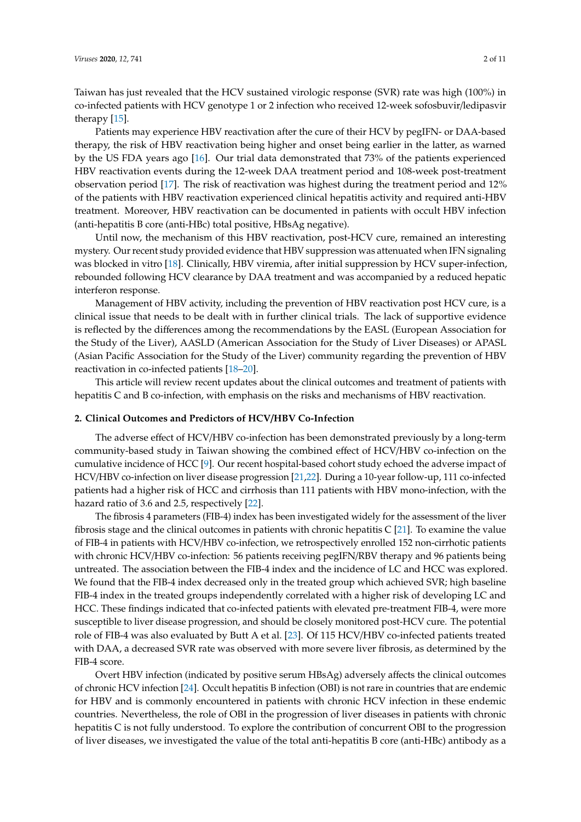Taiwan has just revealed that the HCV sustained virologic response (SVR) rate was high (100%) in co-infected patients with HCV genotype 1 or 2 infection who received 12-week sofosbuvir/ledipasvir therapy [\[15\]](#page-8-1).

Patients may experience HBV reactivation after the cure of their HCV by pegIFN- or DAA-based therapy, the risk of HBV reactivation being higher and onset being earlier in the latter, as warned by the US FDA years ago [\[16\]](#page-8-2). Our trial data demonstrated that 73% of the patients experienced HBV reactivation events during the 12-week DAA treatment period and 108-week post-treatment observation period [\[17\]](#page-8-3). The risk of reactivation was highest during the treatment period and 12% of the patients with HBV reactivation experienced clinical hepatitis activity and required anti-HBV treatment. Moreover, HBV reactivation can be documented in patients with occult HBV infection (anti-hepatitis B core (anti-HBc) total positive, HBsAg negative).

Until now, the mechanism of this HBV reactivation, post-HCV cure, remained an interesting mystery. Our recent study provided evidence that HBV suppression was attenuated when IFN signaling was blocked in vitro [\[18\]](#page-8-4). Clinically, HBV viremia, after initial suppression by HCV super-infection, rebounded following HCV clearance by DAA treatment and was accompanied by a reduced hepatic interferon response.

Management of HBV activity, including the prevention of HBV reactivation post HCV cure, is a clinical issue that needs to be dealt with in further clinical trials. The lack of supportive evidence is reflected by the differences among the recommendations by the EASL (European Association for the Study of the Liver), AASLD (American Association for the Study of Liver Diseases) or APASL (Asian Pacific Association for the Study of the Liver) community regarding the prevention of HBV reactivation in co-infected patients [\[18](#page-8-4)[–20\]](#page-8-5).

This article will review recent updates about the clinical outcomes and treatment of patients with hepatitis C and B co-infection, with emphasis on the risks and mechanisms of HBV reactivation.

#### **2. Clinical Outcomes and Predictors of HCV**/**HBV Co-Infection**

The adverse effect of HCV/HBV co-infection has been demonstrated previously by a long-term community-based study in Taiwan showing the combined effect of HCV/HBV co-infection on the cumulative incidence of HCC [\[9\]](#page-7-2). Our recent hospital-based cohort study echoed the adverse impact of HCV/HBV co-infection on liver disease progression [\[21,](#page-8-6)[22\]](#page-8-7). During a 10-year follow-up, 111 co-infected patients had a higher risk of HCC and cirrhosis than 111 patients with HBV mono-infection, with the hazard ratio of 3.6 and 2.5, respectively [\[22\]](#page-8-7).

The fibrosis 4 parameters (FIB-4) index has been investigated widely for the assessment of the liver fibrosis stage and the clinical outcomes in patients with chronic hepatitis C  $[21]$ . To examine the value of FIB-4 in patients with HCV/HBV co-infection, we retrospectively enrolled 152 non-cirrhotic patients with chronic HCV/HBV co-infection: 56 patients receiving pegIFN/RBV therapy and 96 patients being untreated. The association between the FIB-4 index and the incidence of LC and HCC was explored. We found that the FIB-4 index decreased only in the treated group which achieved SVR; high baseline FIB-4 index in the treated groups independently correlated with a higher risk of developing LC and HCC. These findings indicated that co-infected patients with elevated pre-treatment FIB-4, were more susceptible to liver disease progression, and should be closely monitored post-HCV cure. The potential role of FIB-4 was also evaluated by Butt A et al. [\[23\]](#page-8-8). Of 115 HCV/HBV co-infected patients treated with DAA, a decreased SVR rate was observed with more severe liver fibrosis, as determined by the FIB-4 score.

Overt HBV infection (indicated by positive serum HBsAg) adversely affects the clinical outcomes of chronic HCV infection [\[24\]](#page-8-9). Occult hepatitis B infection (OBI) is not rare in countries that are endemic for HBV and is commonly encountered in patients with chronic HCV infection in these endemic countries. Nevertheless, the role of OBI in the progression of liver diseases in patients with chronic hepatitis C is not fully understood. To explore the contribution of concurrent OBI to the progression of liver diseases, we investigated the value of the total anti-hepatitis B core (anti-HBc) antibody as a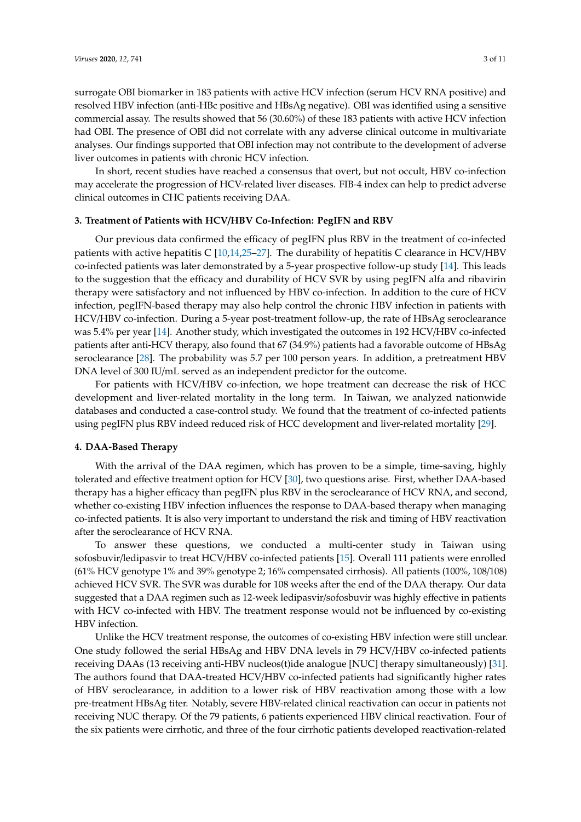surrogate OBI biomarker in 183 patients with active HCV infection (serum HCV RNA positive) and resolved HBV infection (anti-HBc positive and HBsAg negative). OBI was identified using a sensitive commercial assay. The results showed that 56 (30.60%) of these 183 patients with active HCV infection had OBI. The presence of OBI did not correlate with any adverse clinical outcome in multivariate analyses. Our findings supported that OBI infection may not contribute to the development of adverse liver outcomes in patients with chronic HCV infection.

In short, recent studies have reached a consensus that overt, but not occult, HBV co-infection may accelerate the progression of HCV-related liver diseases. FIB-4 index can help to predict adverse clinical outcomes in CHC patients receiving DAA.

## **3. Treatment of Patients with HCV**/**HBV Co-Infection: PegIFN and RBV**

Our previous data confirmed the efficacy of pegIFN plus RBV in the treatment of co-infected patients with active hepatitis C [\[10](#page-7-3)[,14](#page-8-0)[,25](#page-8-10)[–27\]](#page-8-11). The durability of hepatitis C clearance in HCV/HBV co-infected patients was later demonstrated by a 5-year prospective follow-up study [\[14\]](#page-8-0). This leads to the suggestion that the efficacy and durability of HCV SVR by using pegIFN alfa and ribavirin therapy were satisfactory and not influenced by HBV co-infection. In addition to the cure of HCV infection, pegIFN-based therapy may also help control the chronic HBV infection in patients with HCV/HBV co-infection. During a 5-year post-treatment follow-up, the rate of HBsAg seroclearance was 5.4% per year [\[14\]](#page-8-0). Another study, which investigated the outcomes in 192 HCV/HBV co-infected patients after anti-HCV therapy, also found that 67 (34.9%) patients had a favorable outcome of HBsAg seroclearance [\[28\]](#page-8-12). The probability was 5.7 per 100 person years. In addition, a pretreatment HBV DNA level of 300 IU/mL served as an independent predictor for the outcome.

For patients with HCV/HBV co-infection, we hope treatment can decrease the risk of HCC development and liver-related mortality in the long term. In Taiwan, we analyzed nationwide databases and conducted a case-control study. We found that the treatment of co-infected patients using pegIFN plus RBV indeed reduced risk of HCC development and liver-related mortality [\[29\]](#page-9-0).

## **4. DAA-Based Therapy**

With the arrival of the DAA regimen, which has proven to be a simple, time-saving, highly tolerated and effective treatment option for HCV [\[30\]](#page-9-1), two questions arise. First, whether DAA-based therapy has a higher efficacy than pegIFN plus RBV in the seroclearance of HCV RNA, and second, whether co-existing HBV infection influences the response to DAA-based therapy when managing co-infected patients. It is also very important to understand the risk and timing of HBV reactivation after the seroclearance of HCV RNA.

To answer these questions, we conducted a multi-center study in Taiwan using sofosbuvir/ledipasvir to treat HCV/HBV co-infected patients [\[15\]](#page-8-1). Overall 111 patients were enrolled (61% HCV genotype 1% and 39% genotype 2; 16% compensated cirrhosis). All patients (100%, 108/108) achieved HCV SVR. The SVR was durable for 108 weeks after the end of the DAA therapy. Our data suggested that a DAA regimen such as 12-week ledipasvir/sofosbuvir was highly effective in patients with HCV co-infected with HBV. The treatment response would not be influenced by co-existing HBV infection.

Unlike the HCV treatment response, the outcomes of co-existing HBV infection were still unclear. One study followed the serial HBsAg and HBV DNA levels in 79 HCV/HBV co-infected patients receiving DAAs (13 receiving anti-HBV nucleos(t)ide analogue [NUC] therapy simultaneously) [\[31\]](#page-9-2). The authors found that DAA-treated HCV/HBV co-infected patients had significantly higher rates of HBV seroclearance, in addition to a lower risk of HBV reactivation among those with a low pre-treatment HBsAg titer. Notably, severe HBV-related clinical reactivation can occur in patients not receiving NUC therapy. Of the 79 patients, 6 patients experienced HBV clinical reactivation. Four of the six patients were cirrhotic, and three of the four cirrhotic patients developed reactivation-related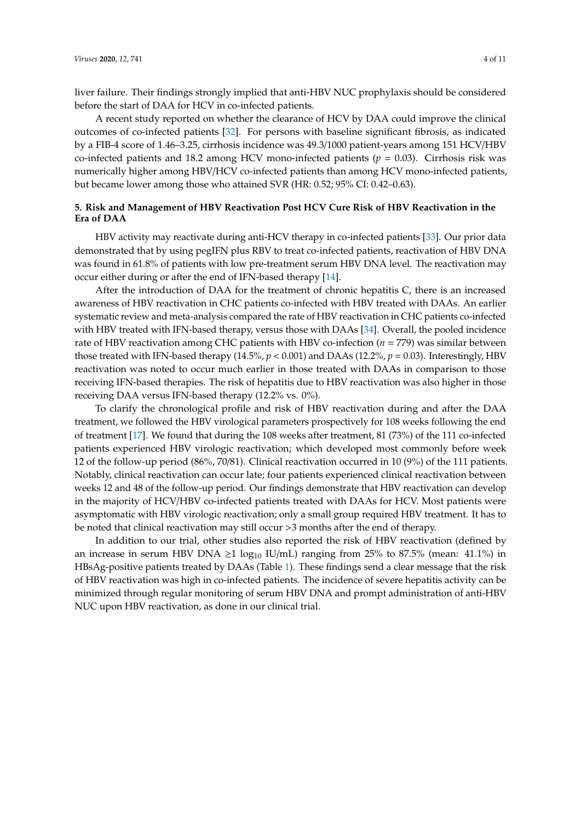liver failure. Their findings strongly implied that anti-HBV NUC prophylaxis should be considered before the start of DAA for HCV in co-infected patients.

A recent study reported on whether the clearance of HCV by DAA could improve the clinical outcomes of co-infected patients [\[32\]](#page-9-3). For persons with baseline significant fibrosis, as indicated by a FIB-4 score of 1.46–3.25, cirrhosis incidence was 49.3/1000 patient-years among 151 HCV/HBV co-infected patients and 18.2 among HCV mono-infected patients (*p* = 0.03). Cirrhosis risk was numerically higher among HBV/HCV co-infected patients than among HCV mono-infected patients, but became lower among those who attained SVR (HR: 0.52; 95% CI: 0.42–0.63).

## **5. Risk and Management of HBV Reactivation Post HCV Cure Risk of HBV Reactivation in the Era of DAA**

HBV activity may reactivate during anti-HCV therapy in co-infected patients [\[33\]](#page-9-4). Our prior data demonstrated that by using pegIFN plus RBV to treat co-infected patients, reactivation of HBV DNA was found in 61.8% of patients with low pre-treatment serum HBV DNA level. The reactivation may occur either during or after the end of IFN-based therapy [\[14\]](#page-8-0).

After the introduction of DAA for the treatment of chronic hepatitis C, there is an increased awareness of HBV reactivation in CHC patients co-infected with HBV treated with DAAs. An earlier systematic review and meta-analysis compared the rate of HBV reactivation in CHC patients co-infected with HBV treated with IFN-based therapy, versus those with DAAs [\[34\]](#page-9-5). Overall, the pooled incidence rate of HBV reactivation among CHC patients with HBV co-infection (*n* = 779) was similar between those treated with IFN-based therapy (14.5%,  $p < 0.001$ ) and DAAs (12.2%,  $p = 0.03$ ). Interestingly, HBV reactivation was noted to occur much earlier in those treated with DAAs in comparison to those receiving IFN-based therapies. The risk of hepatitis due to HBV reactivation was also higher in those receiving DAA versus IFN-based therapy (12.2% vs. 0%).

To clarify the chronological profile and risk of HBV reactivation during and after the DAA treatment, we followed the HBV virological parameters prospectively for 108 weeks following the end of treatment [\[17\]](#page-8-3). We found that during the 108 weeks after treatment, 81 (73%) of the 111 co-infected patients experienced HBV virologic reactivation; which developed most commonly before week 12 of the follow-up period (86%, 70/81). Clinical reactivation occurred in 10 (9%) of the 111 patients. Notably, clinical reactivation can occur late; four patients experienced clinical reactivation between weeks 12 and 48 of the follow-up period. Our findings demonstrate that HBV reactivation can develop in the majority of HCV/HBV co-infected patients treated with DAAs for HCV. Most patients were asymptomatic with HBV virologic reactivation; only a small group required HBV treatment. It has to be noted that clinical reactivation may still occur >3 months after the end of therapy.

In addition to our trial, other studies also reported the risk of HBV reactivation (defined by an increase in serum HBV DNA  $\geq 1 \log_{10}$  IU/mL) ranging from 25% to 87.5% (mean: 41.1%) in HBsAg-positive patients treated by DAAs (Table [1\)](#page-4-0). These findings send a clear message that the risk of HBV reactivation was high in co-infected patients. The incidence of severe hepatitis activity can be minimized through regular monitoring of serum HBV DNA and prompt administration of anti-HBV NUC upon HBV reactivation, as done in our clinical trial.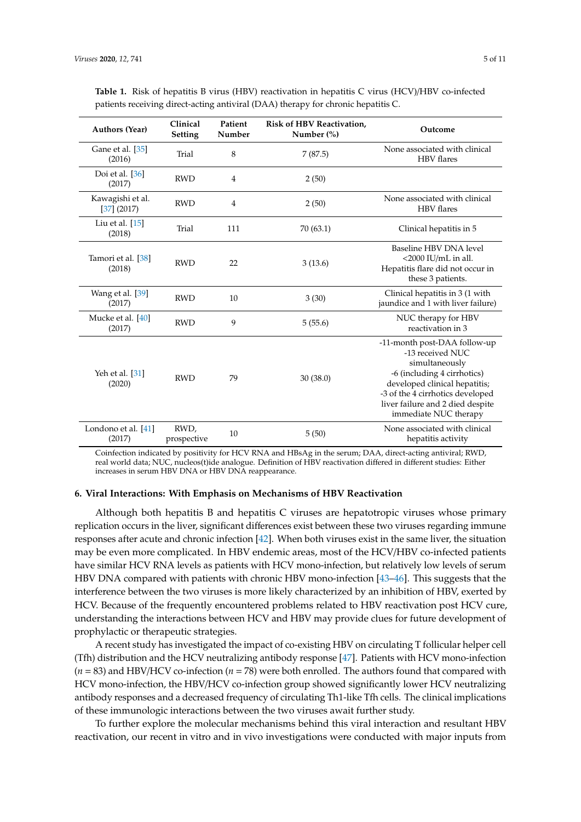| <b>Authors (Year)</b>           | Clinical<br><b>Setting</b> | Patient<br>Number | <b>Risk of HBV Reactivation,</b><br>Number $(\%)$ | Outcome                                                                                                                                                                                                                             |
|---------------------------------|----------------------------|-------------------|---------------------------------------------------|-------------------------------------------------------------------------------------------------------------------------------------------------------------------------------------------------------------------------------------|
| Gane et al. [35]<br>(2016)      | Trial                      | 8                 | 7(87.5)                                           | None associated with clinical<br><b>HBV</b> flares                                                                                                                                                                                  |
| Doi et al. $[36]$<br>(2017)     | <b>RWD</b>                 | $\overline{4}$    | 2(50)                                             |                                                                                                                                                                                                                                     |
| Kawagishi et al.<br>[37] (2017) | <b>RWD</b>                 | $\overline{4}$    | 2(50)                                             | None associated with clinical<br><b>HBV</b> flares                                                                                                                                                                                  |
| Liu et al. [15]<br>(2018)       | Trial                      | 111               | 70 (63.1)                                         | Clinical hepatitis in 5                                                                                                                                                                                                             |
| Tamori et al. [38]<br>(2018)    | <b>RWD</b>                 | 22                | 3(13.6)                                           | Baseline HBV DNA level<br>$<$ 2000 IU/mL in all.<br>Hepatitis flare did not occur in<br>these 3 patients.                                                                                                                           |
| Wang et al. [39]<br>(2017)      | <b>RWD</b>                 | 10                | 3(30)                                             | Clinical hepatitis in 3 (1 with<br>jaundice and 1 with liver failure)                                                                                                                                                               |
| Mucke et al. [40]<br>(2017)     | <b>RWD</b>                 | 9                 | 5(55.6)                                           | NUC therapy for HBV<br>reactivation in 3                                                                                                                                                                                            |
| Yeh et al. [31]<br>(2020)       | <b>RWD</b>                 | 79                | 30 (38.0)                                         | -11-month post-DAA follow-up<br>-13 received NUC<br>simultaneously<br>-6 (including 4 cirrhotics)<br>developed clinical hepatitis;<br>-3 of the 4 cirrhotics developed<br>liver failure and 2 died despite<br>immediate NUC therapy |
| Londono et al. [41]<br>(2017)   | RWD,<br>prospective        | 10                | 5(50)                                             | None associated with clinical<br>hepatitis activity                                                                                                                                                                                 |

<span id="page-4-0"></span>**Table 1.** Risk of hepatitis B virus (HBV) reactivation in hepatitis C virus (HCV)/HBV co-infected patients receiving direct-acting antiviral (DAA) therapy for chronic hepatitis C.

Coinfection indicated by positivity for HCV RNA and HBsAg in the serum; DAA, direct-acting antiviral; RWD, real world data; NUC, nucleos(t)ide analogue. Definition of HBV reactivation differed in different studies: Either increases in serum HBV DNA or HBV DNA reappearance.

### **6. Viral Interactions: With Emphasis on Mechanisms of HBV Reactivation**

Although both hepatitis B and hepatitis C viruses are hepatotropic viruses whose primary replication occurs in the liver, significant differences exist between these two viruses regarding immune responses after acute and chronic infection [\[42\]](#page-9-13). When both viruses exist in the same liver, the situation may be even more complicated. In HBV endemic areas, most of the HCV/HBV co-infected patients have similar HCV RNA levels as patients with HCV mono-infection, but relatively low levels of serum HBV DNA compared with patients with chronic HBV mono-infection [\[43](#page-9-14)[–46\]](#page-9-15). This suggests that the interference between the two viruses is more likely characterized by an inhibition of HBV, exerted by HCV. Because of the frequently encountered problems related to HBV reactivation post HCV cure, understanding the interactions between HCV and HBV may provide clues for future development of prophylactic or therapeutic strategies.

A recent study has investigated the impact of co-existing HBV on circulating T follicular helper cell (Tfh) distribution and the HCV neutralizing antibody response [\[47\]](#page-10-0). Patients with HCV mono-infection (*n* = 83) and HBV/HCV co-infection (*n* = 78) were both enrolled. The authors found that compared with HCV mono-infection, the HBV/HCV co-infection group showed significantly lower HCV neutralizing antibody responses and a decreased frequency of circulating Th1-like Tfh cells. The clinical implications of these immunologic interactions between the two viruses await further study.

To further explore the molecular mechanisms behind this viral interaction and resultant HBV reactivation, our recent in vitro and in vivo investigations were conducted with major inputs from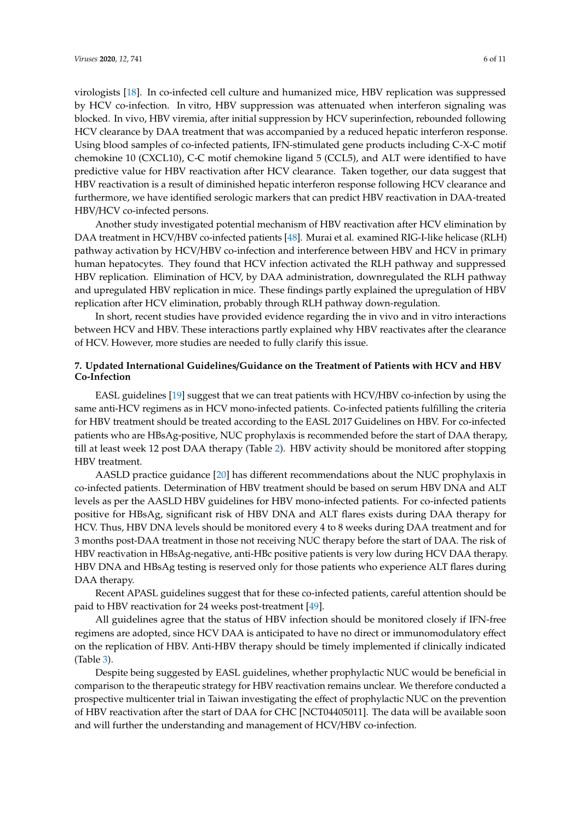virologists [\[18\]](#page-8-4). In co-infected cell culture and humanized mice, HBV replication was suppressed by HCV co-infection. In vitro, HBV suppression was attenuated when interferon signaling was blocked. In vivo, HBV viremia, after initial suppression by HCV superinfection, rebounded following HCV clearance by DAA treatment that was accompanied by a reduced hepatic interferon response. Using blood samples of co-infected patients, IFN-stimulated gene products including C-X-C motif chemokine 10 (CXCL10), C-C motif chemokine ligand 5 (CCL5), and ALT were identified to have predictive value for HBV reactivation after HCV clearance. Taken together, our data suggest that HBV reactivation is a result of diminished hepatic interferon response following HCV clearance and furthermore, we have identified serologic markers that can predict HBV reactivation in DAA-treated HBV/HCV co-infected persons.

Another study investigated potential mechanism of HBV reactivation after HCV elimination by DAA treatment in HCV/HBV co-infected patients [\[48\]](#page-10-1). Murai et al. examined RIG-I-like helicase (RLH) pathway activation by HCV/HBV co-infection and interference between HBV and HCV in primary human hepatocytes. They found that HCV infection activated the RLH pathway and suppressed HBV replication. Elimination of HCV, by DAA administration, downregulated the RLH pathway and upregulated HBV replication in mice. These findings partly explained the upregulation of HBV replication after HCV elimination, probably through RLH pathway down-regulation.

In short, recent studies have provided evidence regarding the in vivo and in vitro interactions between HCV and HBV. These interactions partly explained why HBV reactivates after the clearance of HCV. However, more studies are needed to fully clarify this issue.

## **7. Updated International Guidelines**/**Guidance on the Treatment of Patients with HCV and HBV Co-Infection**

EASL guidelines [\[19\]](#page-8-13) suggest that we can treat patients with HCV/HBV co-infection by using the same anti-HCV regimens as in HCV mono-infected patients. Co-infected patients fulfilling the criteria for HBV treatment should be treated according to the EASL 2017 Guidelines on HBV. For co-infected patients who are HBsAg-positive, NUC prophylaxis is recommended before the start of DAA therapy, till at least week 12 post DAA therapy (Table [2\)](#page-6-0). HBV activity should be monitored after stopping HBV treatment.

AASLD practice guidance [\[20\]](#page-8-5) has different recommendations about the NUC prophylaxis in co-infected patients. Determination of HBV treatment should be based on serum HBV DNA and ALT levels as per the AASLD HBV guidelines for HBV mono-infected patients. For co-infected patients positive for HBsAg, significant risk of HBV DNA and ALT flares exists during DAA therapy for HCV. Thus, HBV DNA levels should be monitored every 4 to 8 weeks during DAA treatment and for 3 months post-DAA treatment in those not receiving NUC therapy before the start of DAA. The risk of HBV reactivation in HBsAg-negative, anti-HBc positive patients is very low during HCV DAA therapy. HBV DNA and HBsAg testing is reserved only for those patients who experience ALT flares during DAA therapy.

Recent APASL guidelines suggest that for these co-infected patients, careful attention should be paid to HBV reactivation for 24 weeks post-treatment [\[49\]](#page-10-2).

All guidelines agree that the status of HBV infection should be monitored closely if IFN-free regimens are adopted, since HCV DAA is anticipated to have no direct or immunomodulatory effect on the replication of HBV. Anti-HBV therapy should be timely implemented if clinically indicated (Table [3\)](#page-6-1).

Despite being suggested by EASL guidelines, whether prophylactic NUC would be beneficial in comparison to the therapeutic strategy for HBV reactivation remains unclear. We therefore conducted a prospective multicenter trial in Taiwan investigating the effect of prophylactic NUC on the prevention of HBV reactivation after the start of DAA for CHC [NCT04405011]. The data will be available soon and will further the understanding and management of HCV/HBV co-infection.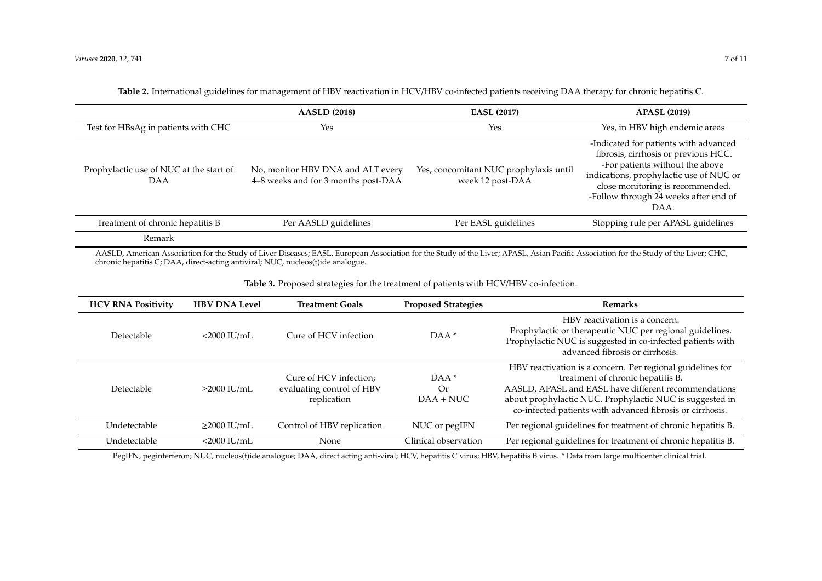|                                                       | <b>AASLD (2018)</b>                                                      | <b>EASL (2017)</b>                                         | <b>APASL (2019)</b>                                                                                                                                                                                                                              |
|-------------------------------------------------------|--------------------------------------------------------------------------|------------------------------------------------------------|--------------------------------------------------------------------------------------------------------------------------------------------------------------------------------------------------------------------------------------------------|
| Test for HBsAg in patients with CHC                   | Yes                                                                      | Yes                                                        | Yes, in HBV high endemic areas                                                                                                                                                                                                                   |
| Prophylactic use of NUC at the start of<br><b>DAA</b> | No, monitor HBV DNA and ALT every<br>4-8 weeks and for 3 months post-DAA | Yes, concomitant NUC prophylaxis until<br>week 12 post-DAA | -Indicated for patients with advanced<br>fibrosis, cirrhosis or previous HCC.<br>-For patients without the above<br>indications, prophylactic use of NUC or<br>close monitoring is recommended.<br>-Follow through 24 weeks after end of<br>DAA. |
| Treatment of chronic hepatitis B                      | Per AASLD guidelines                                                     | Per EASL guidelines                                        | Stopping rule per APASL guidelines                                                                                                                                                                                                               |
| Remark                                                |                                                                          |                                                            |                                                                                                                                                                                                                                                  |

**Table 2.** International guidelines for management of HBV reactivation in HCV/HBV co-infected patients receiving DAA therapy for chronic hepatitis C.

AASLD, American Association for the Study of Liver Diseases; EASL, European Association for the Study of the Liver; APASL, Asian Pacific Association for the Study of the Liver; CHC, chronic hepatitis C; DAA, direct-acting antiviral; NUC, nucleos(t)ide analogue.

**Table 3.** Proposed strategies for the treatment of patients with HCV/HBV co-infection.

<span id="page-6-0"></span>

| <b>HCV RNA Positivity</b> | <b>HBV DNA Level</b> | <b>Treatment Goals</b>                                             | <b>Proposed Strategies</b>  | <b>Remarks</b>                                                                                                                                                                                                                                                                   |
|---------------------------|----------------------|--------------------------------------------------------------------|-----------------------------|----------------------------------------------------------------------------------------------------------------------------------------------------------------------------------------------------------------------------------------------------------------------------------|
| Detectable                | $<$ 2000 IU/mL       | Cure of HCV infection                                              | $DAA*$                      | HBV reactivation is a concern.<br>Prophylactic or therapeutic NUC per regional guidelines.<br>Prophylactic NUC is suggested in co-infected patients with<br>advanced fibrosis or cirrhosis.                                                                                      |
| Detectable                | $>$ 2000 IU/mL       | Cure of HCV infection;<br>evaluating control of HBV<br>replication | $DAA*$<br>Or<br>$DAA + NUC$ | HBV reactivation is a concern. Per regional guidelines for<br>treatment of chronic hepatitis B.<br>AASLD, APASL and EASL have different recommendations<br>about prophylactic NUC. Prophylactic NUC is suggested in<br>co-infected patients with advanced fibrosis or cirrhosis. |
| Undetectable              | $\geq$ 2000 IU/mL    | Control of HBV replication                                         | NUC or pegIFN               | Per regional guidelines for treatment of chronic hepatitis B.                                                                                                                                                                                                                    |
| Undetectable              | $<$ 2000 IU/mL       | None                                                               | Clinical observation        | Per regional guidelines for treatment of chronic hepatitis B.                                                                                                                                                                                                                    |

<span id="page-6-1"></span>PegIFN, peginterferon; NUC, nucleos(t)ide analogue; DAA, direct acting anti-viral; HCV, hepatitis C virus; HBV, hepatitis B virus. \* Data from large multicenter clinical trial.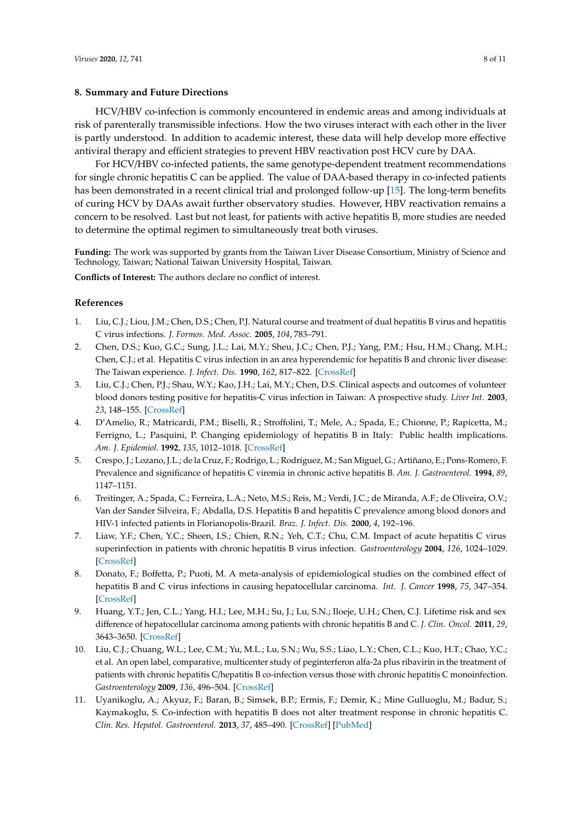## **8. Summary and Future Directions**

HCV/HBV co-infection is commonly encountered in endemic areas and among individuals at risk of parenterally transmissible infections. How the two viruses interact with each other in the liver is partly understood. In addition to academic interest, these data will help develop more effective antiviral therapy and efficient strategies to prevent HBV reactivation post HCV cure by DAA.

For HCV/HBV co-infected patients, the same genotype-dependent treatment recommendations for single chronic hepatitis C can be applied. The value of DAA-based therapy in co-infected patients has been demonstrated in a recent clinical trial and prolonged follow-up [\[15\]](#page-8-1). The long-term benefits of curing HCV by DAAs await further observatory studies. However, HBV reactivation remains a concern to be resolved. Last but not least, for patients with active hepatitis B, more studies are needed to determine the optimal regimen to simultaneously treat both viruses.

**Funding:** The work was supported by grants from the Taiwan Liver Disease Consortium, Ministry of Science and Technology, Taiwan; National Taiwan University Hospital, Taiwan.

**Conflicts of Interest:** The authors declare no conflict of interest.

### **References**

- <span id="page-7-0"></span>1. Liu, C.J.; Liou, J.M.; Chen, D.S.; Chen, P.J. Natural course and treatment of dual hepatitis B virus and hepatitis C virus infections. *J. Formos. Med. Assoc.* **2005**, *104*, 783–791.
- 2. Chen, D.S.; Kuo, G.C.; Sung, J.L.; Lai, M.Y.; Sheu, J.C.; Chen, P.J.; Yang, P.M.; Hsu, H.M.; Chang, M.H.; Chen, C.J.; et al. Hepatitis C virus infection in an area hyperendemic for hepatitis B and chronic liver disease: The Taiwan experience. *J. Infect. Dis.* **1990**, *162*, 817–822. [\[CrossRef\]](http://dx.doi.org/10.1093/infdis/162.4.817)
- <span id="page-7-1"></span>3. Liu, C.J.; Chen, P.J.; Shau, W.Y.; Kao, J.H.; Lai, M.Y.; Chen, D.S. Clinical aspects and outcomes of volunteer blood donors testing positive for hepatitis-C virus infection in Taiwan: A prospective study. *Liver Int.* **2003**, *23*, 148–155. [\[CrossRef\]](http://dx.doi.org/10.1034/j.1600-0676.2003.00820.x)
- 4. D'Amelio, R.; Matricardi, P.M.; Biselli, R.; Stroffolini, T.; Mele, A.; Spada, E.; Chionne, P.; Rapicetta, M.; Ferrigno, L.; Pasquini, P. Changing epidemiology of hepatitis B in Italy: Public health implications. *Am. J. Epidemiol.* **1992**, *135*, 1012–1018. [\[CrossRef\]](http://dx.doi.org/10.1093/oxfordjournals.aje.a116395)
- 5. Crespo, J.; Lozano, J.L.; de la Cruz, F.; Rodrigo, L.; Rodríguez, M.; San Miguel, G.; Artiñano, E.; Pons-Romero, F. Prevalence and significance of hepatitis C viremia in chronic active hepatitis B. *Am. J. Gastroenterol.* **1994**, *89*, 1147–1151.
- 6. Treitinger, A.; Spada, C.; Ferreira, L.A.; Neto, M.S.; Reis, M.; Verdi, J.C.; de Miranda, A.F.; de Oliveira, O.V.; Van der Sander Silveira, F.; Abdalla, D.S. Hepatitis B and hepatitis C prevalence among blood donors and HIV-1 infected patients in Florianopolis-Brazil. *Braz. J. Infect. Dis.* **2000**, *4*, 192–196.
- 7. Liaw, Y.F.; Chen, Y.C.; Sheen, I.S.; Chien, R.N.; Yeh, C.T.; Chu, C.M. Impact of acute hepatitis C virus superinfection in patients with chronic hepatitis B virus infection. *Gastroenterology* **2004**, *126*, 1024–1029. [\[CrossRef\]](http://dx.doi.org/10.1053/j.gastro.2004.01.011)
- 8. Donato, F.; Boffetta, P.; Puoti, M. A meta-analysis of epidemiological studies on the combined effect of hepatitis B and C virus infections in causing hepatocellular carcinoma. *Int. J. Cancer* **1998**, *75*, 347–354. [\[CrossRef\]](http://dx.doi.org/10.1002/(SICI)1097-0215(19980130)75:3<347::AID-IJC4>3.0.CO;2-2)
- <span id="page-7-2"></span>9. Huang, Y.T.; Jen, C.L.; Yang, H.I.; Lee, M.H.; Su, J.; Lu, S.N.; Iloeje, U.H.; Chen, C.J. Lifetime risk and sex difference of hepatocellular carcinoma among patients with chronic hepatitis B and C. *J. Clin. Oncol.* **2011**, *29*, 3643–3650. [\[CrossRef\]](http://dx.doi.org/10.1200/JCO.2011.36.2335)
- <span id="page-7-3"></span>10. Liu, C.J.; Chuang, W.L.; Lee, C.M.; Yu, M.L.; Lu, S.N.; Wu, S.S.; Liao, L.Y.; Chen, C.L.; Kuo, H.T.; Chao, Y.C.; et al. An open label, comparative, multicenter study of peginterferon alfa-2a plus ribavirin in the treatment of patients with chronic hepatitis C/hepatitis B co-infection versus those with chronic hepatitis C monoinfection. *Gastroenterology* **2009**, *136*, 496–504. [\[CrossRef\]](http://dx.doi.org/10.1053/j.gastro.2008.10.049)
- 11. Uyanikoglu, A.; Akyuz, F.; Baran, B.; Simsek, B.P.; Ermis, F.; Demir, K.; Mine Gulluoglu, M.; Badur, S.; Kaymakoglu, S. Co-infection with hepatitis B does not alter treatment response in chronic hepatitis C. *Clin. Res. Hepatol. Gastroenterol.* **2013**, *37*, 485–490. [\[CrossRef\]](http://dx.doi.org/10.1016/j.clinre.2013.03.002) [\[PubMed\]](http://www.ncbi.nlm.nih.gov/pubmed/23665172)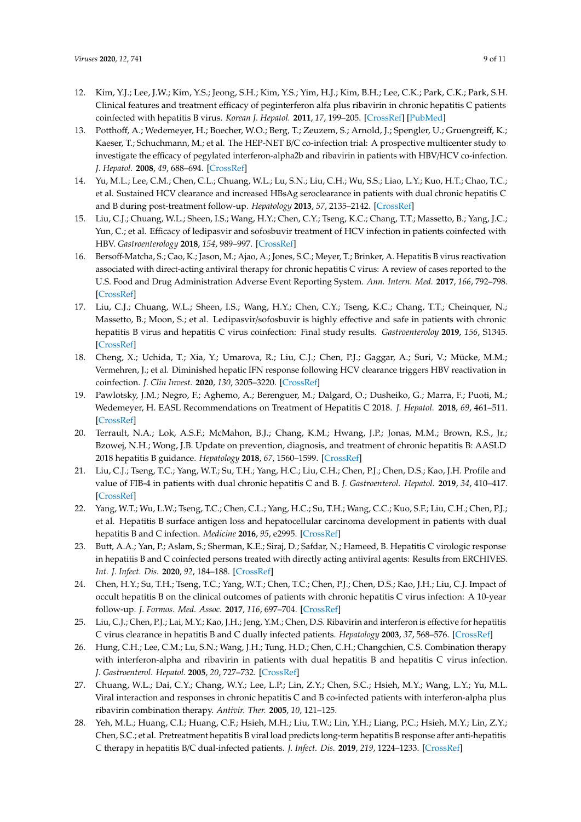- 12. Kim, Y.J.; Lee, J.W.; Kim, Y.S.; Jeong, S.H.; Kim, Y.S.; Yim, H.J.; Kim, B.H.; Lee, C.K.; Park, C.K.; Park, S.H. Clinical features and treatment efficacy of peginterferon alfa plus ribavirin in chronic hepatitis C patients coinfected with hepatitis B virus. *Korean J. Hepatol.* **2011**, *17*, 199–205. [\[CrossRef\]](http://dx.doi.org/10.3350/kjhep.2011.17.3.199) [\[PubMed\]](http://www.ncbi.nlm.nih.gov/pubmed/22102386)
- 13. Potthoff, A.; Wedemeyer, H.; Boecher, W.O.; Berg, T.; Zeuzem, S.; Arnold, J.; Spengler, U.; Gruengreiff, K.; Kaeser, T.; Schuchmann, M.; et al. The HEP-NET B/C co-infection trial: A prospective multicenter study to investigate the efficacy of pegylated interferon-alpha2b and ribavirin in patients with HBV/HCV co-infection. *J. Hepatol.* **2008**, *49*, 688–694. [\[CrossRef\]](http://dx.doi.org/10.1016/j.jhep.2008.03.028)
- <span id="page-8-0"></span>14. Yu, M.L.; Lee, C.M.; Chen, C.L.; Chuang, W.L.; Lu, S.N.; Liu, C.H.; Wu, S.S.; Liao, L.Y.; Kuo, H.T.; Chao, T.C.; et al. Sustained HCV clearance and increased HBsAg seroclearance in patients with dual chronic hepatitis C and B during post-treatment follow-up. *Hepatology* **2013**, *57*, 2135–2142. [\[CrossRef\]](http://dx.doi.org/10.1002/hep.26266)
- <span id="page-8-1"></span>15. Liu, C.J.; Chuang, W.L.; Sheen, I.S.; Wang, H.Y.; Chen, C.Y.; Tseng, K.C.; Chang, T.T.; Massetto, B.; Yang, J.C.; Yun, C.; et al. Efficacy of ledipasvir and sofosbuvir treatment of HCV infection in patients coinfected with HBV. *Gastroenterology* **2018**, *154*, 989–997. [\[CrossRef\]](http://dx.doi.org/10.1053/j.gastro.2017.11.011)
- <span id="page-8-2"></span>16. Bersoff-Matcha, S.; Cao, K.; Jason, M.; Ajao, A.; Jones, S.C.; Meyer, T.; Brinker, A. Hepatitis B virus reactivation associated with direct-acting antiviral therapy for chronic hepatitis C virus: A review of cases reported to the U.S. Food and Drug Administration Adverse Event Reporting System. *Ann. Intern. Med.* **2017**, *166*, 792–798. [\[CrossRef\]](http://dx.doi.org/10.7326/M17-0377)
- <span id="page-8-3"></span>17. Liu, C.J.; Chuang, W.L.; Sheen, I.S.; Wang, H.Y.; Chen, C.Y.; Tseng, K.C.; Chang, T.T.; Cheinquer, N.; Massetto, B.; Moon, S.; et al. Ledipasvir/sofosbuvir is highly effective and safe in patients with chronic hepatitis B virus and hepatitis C virus coinfection: Final study results. *Gastroenteroloy* **2019**, *156*, S1345. [\[CrossRef\]](http://dx.doi.org/10.1016/S0016-5085(19)40382-X)
- <span id="page-8-4"></span>18. Cheng, X.; Uchida, T.; Xia, Y.; Umarova, R.; Liu, C.J.; Chen, P.J.; Gaggar, A.; Suri, V.; Mücke, M.M.; Vermehren, J.; et al. Diminished hepatic IFN response following HCV clearance triggers HBV reactivation in coinfection. *J. Clin Invest.* **2020**, *130*, 3205–3220. [\[CrossRef\]](http://dx.doi.org/10.1172/JCI135616)
- <span id="page-8-13"></span>19. Pawlotsky, J.M.; Negro, F.; Aghemo, A.; Berenguer, M.; Dalgard, O.; Dusheiko, G.; Marra, F.; Puoti, M.; Wedemeyer, H. EASL Recommendations on Treatment of Hepatitis C 2018. *J. Hepatol.* **2018**, *69*, 461–511. [\[CrossRef\]](http://dx.doi.org/10.1016/j.jhep.2018.03.026)
- <span id="page-8-5"></span>20. Terrault, N.A.; Lok, A.S.F.; McMahon, B.J.; Chang, K.M.; Hwang, J.P.; Jonas, M.M.; Brown, R.S., Jr.; Bzowej, N.H.; Wong, J.B. Update on prevention, diagnosis, and treatment of chronic hepatitis B: AASLD 2018 hepatitis B guidance. *Hepatology* **2018**, *67*, 1560–1599. [\[CrossRef\]](http://dx.doi.org/10.1002/hep.29800)
- <span id="page-8-6"></span>21. Liu, C.J.; Tseng, T.C.; Yang, W.T.; Su, T.H.; Yang, H.C.; Liu, C.H.; Chen, P.J.; Chen, D.S.; Kao, J.H. Profile and value of FIB-4 in patients with dual chronic hepatitis C and B. *J. Gastroenterol. Hepatol.* **2019**, *34*, 410–417. [\[CrossRef\]](http://dx.doi.org/10.1111/jgh.14455)
- <span id="page-8-7"></span>22. Yang, W.T.; Wu, L.W.; Tseng, T.C.; Chen, C.L.; Yang, H.C.; Su, T.H.; Wang, C.C.; Kuo, S.F.; Liu, C.H.; Chen, P.J.; et al. Hepatitis B surface antigen loss and hepatocellular carcinoma development in patients with dual hepatitis B and C infection. *Medicine* **2016**, *95*, e2995. [\[CrossRef\]](http://dx.doi.org/10.1097/MD.0000000000002995)
- <span id="page-8-8"></span>23. Butt, A.A.; Yan, P.; Aslam, S.; Sherman, K.E.; Siraj, D.; Safdar, N.; Hameed, B. Hepatitis C virologic response in hepatitis B and C coinfected persons treated with directly acting antiviral agents: Results from ERCHIVES. *Int. J. Infect. Dis.* **2020**, *92*, 184–188. [\[CrossRef\]](http://dx.doi.org/10.1016/j.ijid.2020.01.025)
- <span id="page-8-9"></span>24. Chen, H.Y.; Su, T.H.; Tseng, T.C.; Yang, W.T.; Chen, T.C.; Chen, P.J.; Chen, D.S.; Kao, J.H.; Liu, C.J. Impact of occult hepatitis B on the clinical outcomes of patients with chronic hepatitis C virus infection: A 10-year follow-up. *J. Formos. Med. Assoc.* **2017**, *116*, 697–704. [\[CrossRef\]](http://dx.doi.org/10.1016/j.jfma.2016.11.002)
- <span id="page-8-10"></span>25. Liu, C.J.; Chen, P.J.; Lai, M.Y.; Kao, J.H.; Jeng, Y.M.; Chen, D.S. Ribavirin and interferon is effective for hepatitis C virus clearance in hepatitis B and C dually infected patients. *Hepatology* **2003**, *37*, 568–576. [\[CrossRef\]](http://dx.doi.org/10.1053/jhep.2003.50096)
- 26. Hung, C.H.; Lee, C.M.; Lu, S.N.; Wang, J.H.; Tung, H.D.; Chen, C.H.; Changchien, C.S. Combination therapy with interferon-alpha and ribavirin in patients with dual hepatitis B and hepatitis C virus infection. *J. Gastroenterol. Hepatol.* **2005**, *20*, 727–732. [\[CrossRef\]](http://dx.doi.org/10.1111/j.1440-1746.2005.03791.x)
- <span id="page-8-11"></span>27. Chuang, W.L.; Dai, C.Y.; Chang, W.Y.; Lee, L.P.; Lin, Z.Y.; Chen, S.C.; Hsieh, M.Y.; Wang, L.Y.; Yu, M.L. Viral interaction and responses in chronic hepatitis C and B co-infected patients with interferon-alpha plus ribavirin combination therapy. *Antivir. Ther.* **2005**, *10*, 121–125.
- <span id="page-8-12"></span>28. Yeh, M.L.; Huang, C.I.; Huang, C.F.; Hsieh, M.H.; Liu, T.W.; Lin, Y.H.; Liang, P.C.; Hsieh, M.Y.; Lin, Z.Y.; Chen, S.C.; et al. Pretreatment hepatitis B viral load predicts long-term hepatitis B response after anti-hepatitis C therapy in hepatitis B/C dual-infected patients. *J. Infect. Dis.* **2019**, *219*, 1224–1233. [\[CrossRef\]](http://dx.doi.org/10.1093/infdis/jiy648)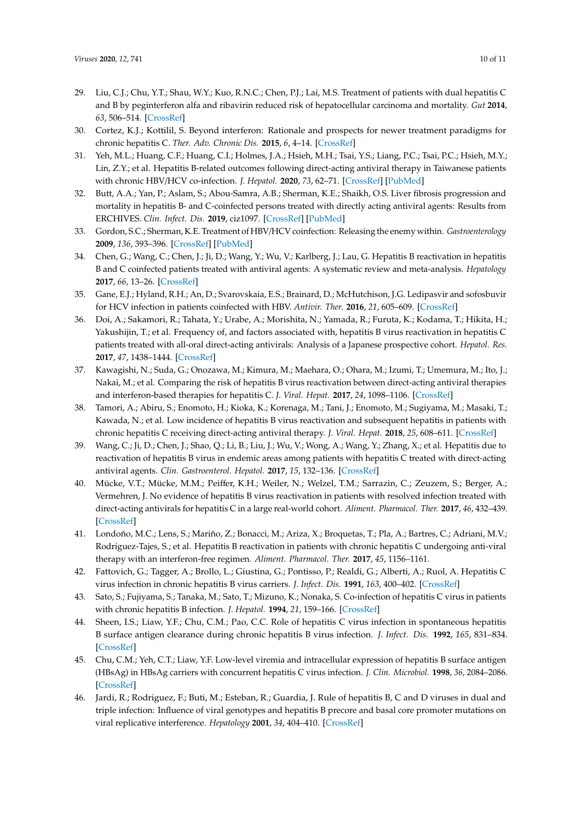- <span id="page-9-0"></span>29. Liu, C.J.; Chu, Y.T.; Shau, W.Y.; Kuo, R.N.C.; Chen, P.J.; Lai, M.S. Treatment of patients with dual hepatitis C and B by peginterferon alfa and ribavirin reduced risk of hepatocellular carcinoma and mortality. *Gut* **2014**, *63*, 506–514. [\[CrossRef\]](http://dx.doi.org/10.1136/gutjnl-2012-304370)
- <span id="page-9-1"></span>30. Cortez, K.J.; Kottilil, S. Beyond interferon: Rationale and prospects for newer treatment paradigms for chronic hepatitis C. *Ther. Adv. Chronic Dis.* **2015**, *6*, 4–14. [\[CrossRef\]](http://dx.doi.org/10.1177/2040622314551934)
- <span id="page-9-2"></span>31. Yeh, M.L.; Huang, C.F.; Huang, C.I.; Holmes, J.A.; Hsieh, M.H.; Tsai, Y.S.; Liang, P.C.; Tsai, P.C.; Hsieh, M.Y.; Lin, Z.Y.; et al. Hepatitis B-related outcomes following direct-acting antiviral therapy in Taiwanese patients with chronic HBV/HCV co-infection. *J. Hepatol.* **2020**, *73*, 62–71. [\[CrossRef\]](http://dx.doi.org/10.1016/j.jhep.2020.01.027) [\[PubMed\]](http://www.ncbi.nlm.nih.gov/pubmed/32061869)
- <span id="page-9-3"></span>32. Butt, A.A.; Yan, P.; Aslam, S.; Abou-Samra, A.B.; Sherman, K.E.; Shaikh, O.S. Liver fibrosis progression and mortality in hepatitis B- and C-coinfected persons treated with directly acting antiviral agents: Results from ERCHIVES. *Clin. Infect. Dis.* **2019**, ciz1097. [\[CrossRef\]](http://dx.doi.org/10.1093/cid/ciz1097) [\[PubMed\]](http://www.ncbi.nlm.nih.gov/pubmed/31840746)
- <span id="page-9-4"></span>33. Gordon, S.C.; Sherman, K.E. Treatment of HBV/HCV coinfection: Releasing the enemy within. *Gastroenterology* **2009**, *136*, 393–396. [\[CrossRef\]](http://dx.doi.org/10.1053/j.gastro.2008.12.017) [\[PubMed\]](http://www.ncbi.nlm.nih.gov/pubmed/19105960)
- <span id="page-9-5"></span>34. Chen, G.; Wang, C.; Chen, J.; Ji, D.; Wang, Y.; Wu, V.; Karlberg, J.; Lau, G. Hepatitis B reactivation in hepatitis B and C coinfected patients treated with antiviral agents: A systematic review and meta-analysis. *Hepatology* **2017**, *66*, 13–26. [\[CrossRef\]](http://dx.doi.org/10.1002/hep.29109)
- <span id="page-9-6"></span>35. Gane, E.J.; Hyland, R.H.; An, D.; Svarovskaia, E.S.; Brainard, D.; McHutchison, J.G. Ledipasvir and sofosbuvir for HCV infection in patients coinfected with HBV. *Antivir. Ther.* **2016**, *21*, 605–609. [\[CrossRef\]](http://dx.doi.org/10.3851/IMP3066)
- <span id="page-9-7"></span>36. Doi, A.; Sakamori, R.; Tahata, Y.; Urabe, A.; Morishita, N.; Yamada, R.; Furuta, K.; Kodama, T.; Hikita, H.; Yakushijin, T.; et al. Frequency of, and factors associated with, hepatitis B virus reactivation in hepatitis C patients treated with all-oral direct-acting antivirals: Analysis of a Japanese prospective cohort. *Hepatol. Res.* **2017**, *47*, 1438–1444. [\[CrossRef\]](http://dx.doi.org/10.1111/hepr.12919)
- <span id="page-9-8"></span>37. Kawagishi, N.; Suda, G.; Onozawa, M.; Kimura, M.; Maehara, O.; Ohara, M.; Izumi, T.; Umemura, M.; Ito, J.; Nakai, M.; et al. Comparing the risk of hepatitis B virus reactivation between direct-acting antiviral therapies and interferon-based therapies for hepatitis C. *J. Viral. Hepat.* **2017**, *24*, 1098–1106. [\[CrossRef\]](http://dx.doi.org/10.1111/jvh.12737)
- <span id="page-9-9"></span>38. Tamori, A.; Abiru, S.; Enomoto, H.; Kioka, K.; Korenaga, M.; Tani, J.; Enomoto, M.; Sugiyama, M.; Masaki, T.; Kawada, N.; et al. Low incidence of hepatitis B virus reactivation and subsequent hepatitis in patients with chronic hepatitis C receiving direct-acting antiviral therapy. *J. Viral. Hepat.* **2018**, *25*, 608–611. [\[CrossRef\]](http://dx.doi.org/10.1111/jvh.12840)
- <span id="page-9-10"></span>39. Wang, C.; Ji, D.; Chen, J.; Shao, Q.; Li, B.; Liu, J.; Wu, V.; Wong, A.; Wang, Y.; Zhang, X.; et al. Hepatitis due to reactivation of hepatitis B virus in endemic areas among patients with hepatitis C treated with direct-acting antiviral agents. *Clin. Gastroenterol. Hepatol.* **2017**, *15*, 132–136. [\[CrossRef\]](http://dx.doi.org/10.1016/j.cgh.2016.06.023)
- <span id="page-9-11"></span>40. Mücke, V.T.; Mücke, M.M.; Peiffer, K.H.; Weiler, N.; Welzel, T.M.; Sarrazin, C.; Zeuzem, S.; Berger, A.; Vermehren, J. No evidence of hepatitis B virus reactivation in patients with resolved infection treated with direct-acting antivirals for hepatitis C in a large real-world cohort. *Aliment. Pharmacol. Ther.* **2017**, *46*, 432–439. [\[CrossRef\]](http://dx.doi.org/10.1111/apt.14177)
- <span id="page-9-12"></span>41. Londoño, M.C.; Lens, S.; Mariño, Z.; Bonacci, M.; Ariza, X.; Broquetas, T.; Pla, A.; Bartres, C.; Adriani, M.V.; Rodríguez-Tajes, S.; et al. Hepatitis B reactivation in patients with chronic hepatitis C undergoing anti-viral therapy with an interferon-free regimen. *Aliment. Pharmacol. Ther.* **2017**, *45*, 1156–1161.
- <span id="page-9-13"></span>42. Fattovich, G.; Tagger, A.; Brollo, L.; Giustina, G.; Pontisso, P.; Realdi, G.; Alberti, A.; Ruol, A. Hepatitis C virus infection in chronic hepatitis B virus carriers. *J. Infect. Dis.* **1991**, *163*, 400–402. [\[CrossRef\]](http://dx.doi.org/10.1093/infdis/163.2.400)
- <span id="page-9-14"></span>43. Sato, S.; Fujiyama, S.; Tanaka, M.; Sato, T.; Mizuno, K.; Nonaka, S. Co-infection of hepatitis C virus in patients with chronic hepatitis B infection. *J. Hepatol.* **1994**, *21*, 159–166. [\[CrossRef\]](http://dx.doi.org/10.1016/S0168-8278(05)80389-7)
- 44. Sheen, I.S.; Liaw, Y.F.; Chu, C.M.; Pao, C.C. Role of hepatitis C virus infection in spontaneous hepatitis B surface antigen clearance during chronic hepatitis B virus infection. *J. Infect. Dis.* **1992**, *165*, 831–834. [\[CrossRef\]](http://dx.doi.org/10.1093/infdis/165.5.831)
- 45. Chu, C.M.; Yeh, C.T.; Liaw, Y.F. Low-level viremia and intracellular expression of hepatitis B surface antigen (HBsAg) in HBsAg carriers with concurrent hepatitis C virus infection. *J. Clin. Microbiol.* **1998**, *36*, 2084–2086. [\[CrossRef\]](http://dx.doi.org/10.1128/JCM.36.7.2084-2086.1998)
- <span id="page-9-15"></span>46. Jardi, R.; Rodriguez, F.; Buti, M.; Esteban, R.; Guardia, J. Rule of hepatitis B, C and D viruses in dual and triple infection: Influence of viral genotypes and hepatitis B precore and basal core promoter mutations on viral replicative interference. *Hepatology* **2001**, *34*, 404–410. [\[CrossRef\]](http://dx.doi.org/10.1053/jhep.2001.26511)